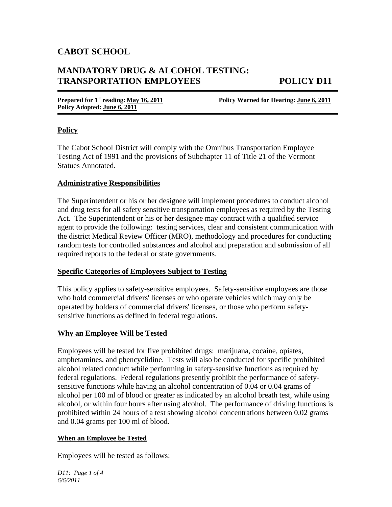## **CABOT SCHOOL**

# **MANDATORY DRUG & ALCOHOL TESTING: TRANSPORTATION EMPLOYEES POLICY D11**

**Policy Adopted: June 6, 2011** 

**Prepared for 1st reading: May 16, 2011 Policy Warned for Hearing: June 6, 2011** 

#### **Policy**

The Cabot School District will comply with the Omnibus Transportation Employee Testing Act of 1991 and the provisions of Subchapter 11 of Title 21 of the Vermont Statues Annotated.

#### **Administrative Responsibilities**

The Superintendent or his or her designee will implement procedures to conduct alcohol and drug tests for all safety sensitive transportation employees as required by the Testing Act. The Superintendent or his or her designee may contract with a qualified service agent to provide the following: testing services, clear and consistent communication with the district Medical Review Officer (MRO), methodology and procedures for conducting random tests for controlled substances and alcohol and preparation and submission of all required reports to the federal or state governments.

#### **Specific Categories of Employees Subject to Testing**

This policy applies to safety-sensitive employees. Safety-sensitive employees are those who hold commercial drivers' licenses or who operate vehicles which may only be operated by holders of commercial drivers' licenses, or those who perform safetysensitive functions as defined in federal regulations.

#### **Why an Employee Will be Tested**

Employees will be tested for five prohibited drugs: marijuana, cocaine, opiates, amphetamines, and phencyclidine. Tests will also be conducted for specific prohibited alcohol related conduct while performing in safety-sensitive functions as required by federal regulations. Federal regulations presently prohibit the performance of safetysensitive functions while having an alcohol concentration of 0.04 or 0.04 grams of alcohol per 100 ml of blood or greater as indicated by an alcohol breath test, while using alcohol, or within four hours after using alcohol. The performance of driving functions is prohibited within 24 hours of a test showing alcohol concentrations between 0.02 grams and 0.04 grams per 100 ml of blood.

#### **When an Employee be Tested**

Employees will be tested as follows:

*D11: Page 1 of 4 6/6/2011*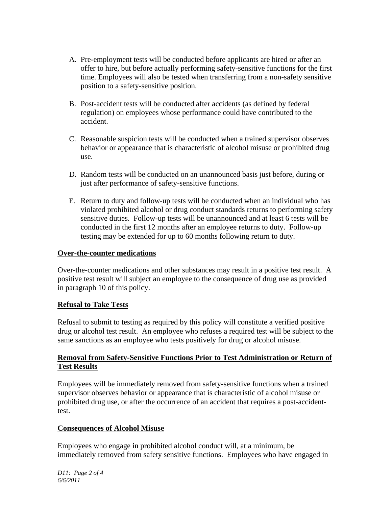- A. Pre-employment tests will be conducted before applicants are hired or after an offer to hire, but before actually performing safety-sensitive functions for the first time. Employees will also be tested when transferring from a non-safety sensitive position to a safety-sensitive position.
- B. Post-accident tests will be conducted after accidents (as defined by federal regulation) on employees whose performance could have contributed to the accident.
- C. Reasonable suspicion tests will be conducted when a trained supervisor observes behavior or appearance that is characteristic of alcohol misuse or prohibited drug use.
- D. Random tests will be conducted on an unannounced basis just before, during or just after performance of safety-sensitive functions.
- E. Return to duty and follow-up tests will be conducted when an individual who has violated prohibited alcohol or drug conduct standards returns to performing safety sensitive duties. Follow-up tests will be unannounced and at least 6 tests will be conducted in the first 12 months after an employee returns to duty. Follow-up testing may be extended for up to 60 months following return to duty.

### **Over-the-counter medications**

Over-the-counter medications and other substances may result in a positive test result. A positive test result will subject an employee to the consequence of drug use as provided in paragraph 10 of this policy.

#### **Refusal to Take Tests**

Refusal to submit to testing as required by this policy will constitute a verified positive drug or alcohol test result. An employee who refuses a required test will be subject to the same sanctions as an employee who tests positively for drug or alcohol misuse.

### **Removal from Safety-Sensitive Functions Prior to Test Administration or Return of Test Results**

Employees will be immediately removed from safety-sensitive functions when a trained supervisor observes behavior or appearance that is characteristic of alcohol misuse or prohibited drug use, or after the occurrence of an accident that requires a post-accidenttest.

#### **Consequences of Alcohol Misuse**

Employees who engage in prohibited alcohol conduct will, at a minimum, be immediately removed from safety sensitive functions. Employees who have engaged in

*D11: Page 2 of 4 6/6/2011*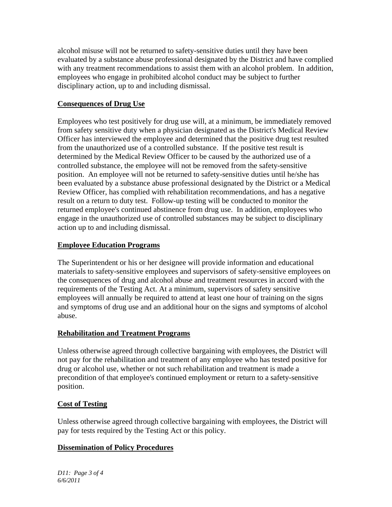alcohol misuse will not be returned to safety-sensitive duties until they have been evaluated by a substance abuse professional designated by the District and have complied with any treatment recommendations to assist them with an alcohol problem. In addition, employees who engage in prohibited alcohol conduct may be subject to further disciplinary action, up to and including dismissal.

### **Consequences of Drug Use**

Employees who test positively for drug use will, at a minimum, be immediately removed from safety sensitive duty when a physician designated as the District's Medical Review Officer has interviewed the employee and determined that the positive drug test resulted from the unauthorized use of a controlled substance. If the positive test result is determined by the Medical Review Officer to be caused by the authorized use of a controlled substance, the employee will not be removed from the safety-sensitive position. An employee will not be returned to safety-sensitive duties until he/she has been evaluated by a substance abuse professional designated by the District or a Medical Review Officer, has complied with rehabilitation recommendations, and has a negative result on a return to duty test. Follow-up testing will be conducted to monitor the returned employee's continued abstinence from drug use. In addition, employees who engage in the unauthorized use of controlled substances may be subject to disciplinary action up to and including dismissal.

### **Employee Education Programs**

The Superintendent or his or her designee will provide information and educational materials to safety-sensitive employees and supervisors of safety-sensitive employees on the consequences of drug and alcohol abuse and treatment resources in accord with the requirements of the Testing Act. At a minimum, supervisors of safety sensitive employees will annually be required to attend at least one hour of training on the signs and symptoms of drug use and an additional hour on the signs and symptoms of alcohol abuse.

### **Rehabilitation and Treatment Programs**

Unless otherwise agreed through collective bargaining with employees, the District will not pay for the rehabilitation and treatment of any employee who has tested positive for drug or alcohol use, whether or not such rehabilitation and treatment is made a precondition of that employee's continued employment or return to a safety-sensitive position.

### **Cost of Testing**

Unless otherwise agreed through collective bargaining with employees, the District will pay for tests required by the Testing Act or this policy.

## **Dissemination of Policy Procedures**

*D11: Page 3 of 4 6/6/2011*